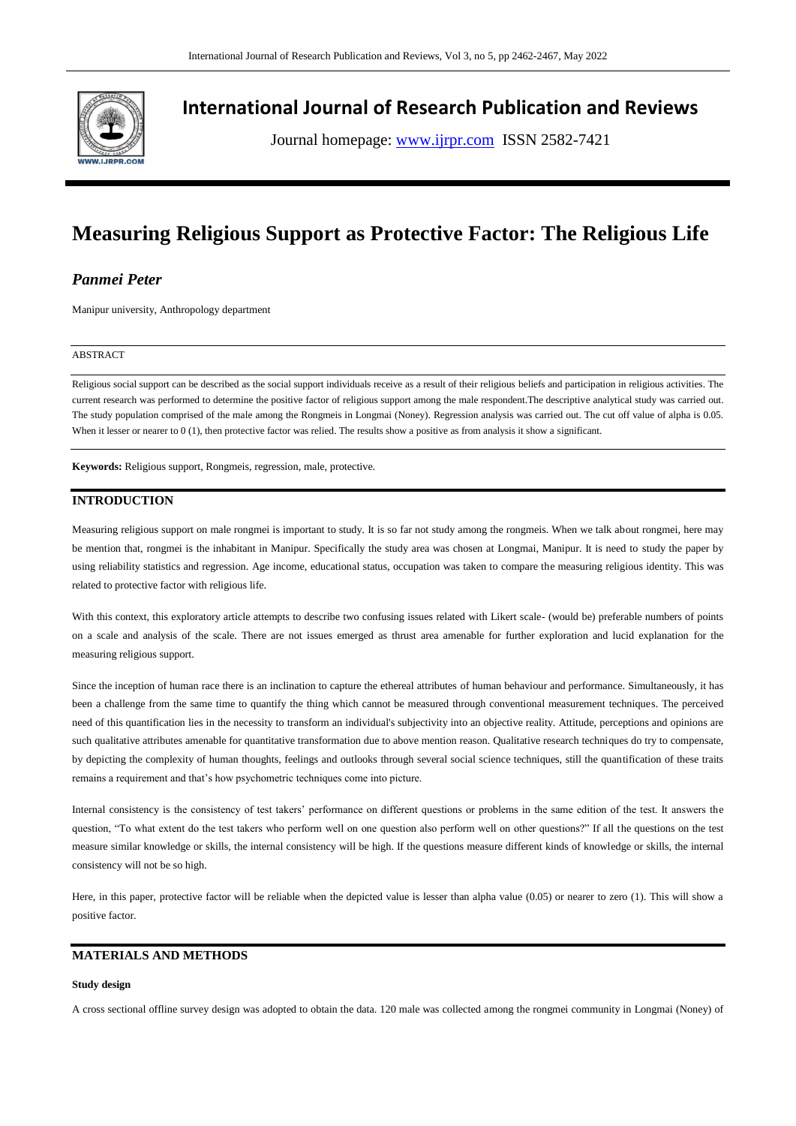

## **International Journal of Research Publication and Reviews**

Journal homepage: www.ijrpr.com ISSN 2582-7421

# **Measuring Religious Support as Protective Factor: The Religious Life**

## *Panmei Peter*

Manipur university, Anthropology department

### ABSTRACT

Religious social support can be described as the social support individuals receive as a result of their religious beliefs and participation in religious activities. The current research was performed to determine the positive factor of religious support among the male respondent.The descriptive analytical study was carried out. The study population comprised of the male among the Rongmeis in Longmai (Noney). Regression analysis was carried out. The cut off value of alpha is 0.05. When it lesser or nearer to 0 (1), then protective factor was relied. The results show a positive as from analysis it show a significant.

**Keywords:** Religious support, Rongmeis, regression, male, protective.

## **INTRODUCTION**

Measuring religious support on male rongmei is important to study. It is so far not study among the rongmeis. When we talk about rongmei, here may be mention that, rongmei is the inhabitant in Manipur. Specifically the study area was chosen at Longmai, Manipur. It is need to study the paper by using reliability statistics and regression. Age income, educational status, occupation was taken to compare the measuring religious identity. This was related to protective factor with religious life.

With this context, this exploratory article attempts to describe two confusing issues related with Likert scale- (would be) preferable numbers of points on a scale and analysis of the scale. There are not issues emerged as thrust area amenable for further exploration and lucid explanation for the measuring religious support.

Since the inception of human race there is an inclination to capture the ethereal attributes of human behaviour and performance. Simultaneously, it has been a challenge from the same time to quantify the thing which cannot be measured through conventional measurement techniques. The perceived need of this quantification lies in the necessity to transform an individual's subjectivity into an objective reality. Attitude, perceptions and opinions are such qualitative attributes amenable for quantitative transformation due to above mention reason. Qualitative research techniques do try to compensate, by depicting the complexity of human thoughts, feelings and outlooks through several social science techniques, still the quantification of these traits remains a requirement and that's how psychometric techniques come into picture.

Internal consistency is the consistency of test takers' performance on different questions or problems in the same edition of the test. It answers the question, "To what extent do the test takers who perform well on one question also perform well on other questions?" If all the questions on the test measure similar knowledge or skills, the internal consistency will be high. If the questions measure different kinds of knowledge or skills, the internal consistency will not be so high.

Here, in this paper, protective factor will be reliable when the depicted value is lesser than alpha value (0.05) or nearer to zero (1). This will show a positive factor.

## **MATERIALS AND METHODS**

## **Study design**

A cross sectional offline survey design was adopted to obtain the data. 120 male was collected among the rongmei community in Longmai (Noney) of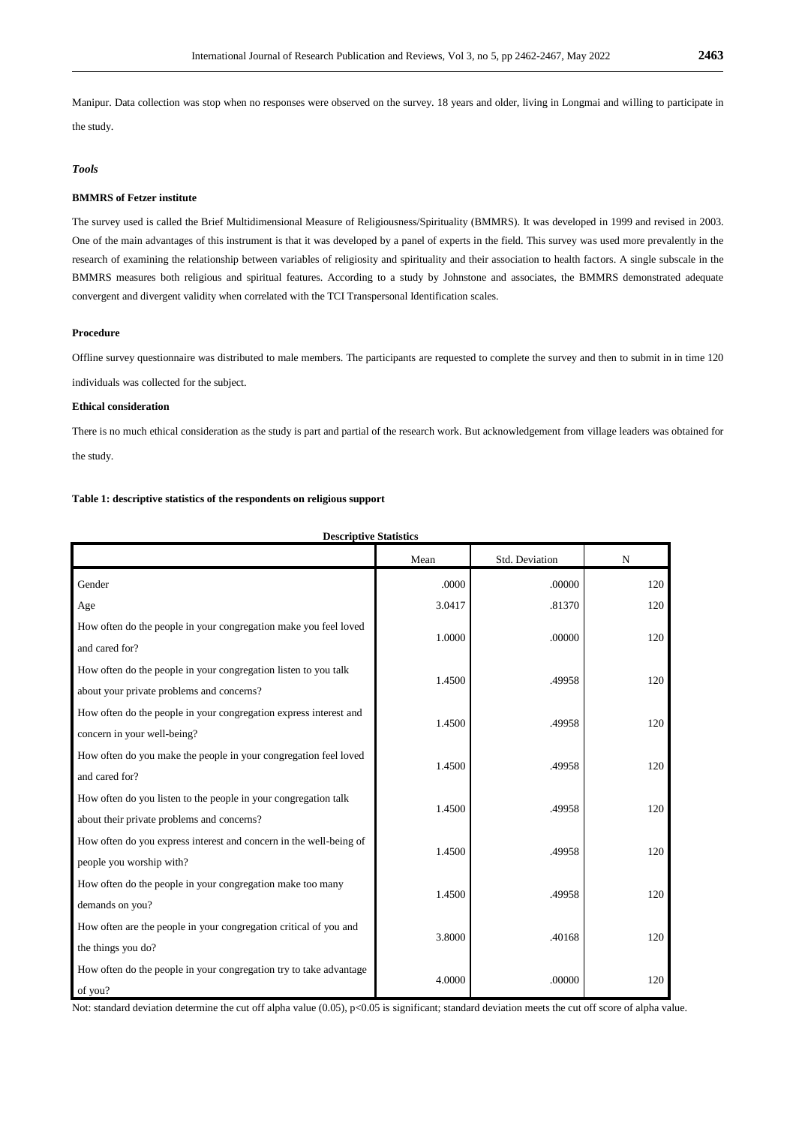Manipur. Data collection was stop when no responses were observed on the survey. 18 years and older, living in Longmai and willing to participate in the study.

## *Tools*

## **BMMRS of Fetzer institute**

The survey used is called the Brief Multidimensional Measure of Religiousness/Spirituality (BMMRS). It was developed in 1999 and revised in 2003. One of the main advantages of this instrument is that it was developed by a panel of experts in the field. This survey was used more prevalently in the research of examining the relationship between variables of religiosity and spirituality and their association to health factors. A single subscale in the BMMRS measures both religious and spiritual features. According to a study by Johnstone and associates, the BMMRS demonstrated adequate convergent and divergent validity when correlated with the TCI Transpersonal Identification scales.

## **Procedure**

Offline survey questionnaire was distributed to male members. The participants are requested to complete the survey and then to submit in in time 120 individuals was collected for the subject.

## **Ethical consideration**

There is no much ethical consideration as the study is part and partial of the research work. But acknowledgement from village leaders was obtained for the study.

## **Table 1: descriptive statistics of the respondents on religious support**

| <b>Descriptive Statistics</b>                                                                                 |        |                |     |  |  |  |
|---------------------------------------------------------------------------------------------------------------|--------|----------------|-----|--|--|--|
|                                                                                                               | Mean   | Std. Deviation | N   |  |  |  |
| Gender                                                                                                        | .0000  | .00000         | 120 |  |  |  |
| Age                                                                                                           | 3.0417 | .81370         | 120 |  |  |  |
| How often do the people in your congregation make you feel loved<br>and cared for?                            | 1.0000 | .00000         | 120 |  |  |  |
| How often do the people in your congregation listen to you talk<br>about your private problems and concerns?  | 1.4500 | .49958         | 120 |  |  |  |
| How often do the people in your congregation express interest and<br>concern in your well-being?              | 1.4500 | .49958         | 120 |  |  |  |
| How often do you make the people in your congregation feel loved<br>and cared for?                            | 1.4500 | .49958         | 120 |  |  |  |
| How often do you listen to the people in your congregation talk<br>about their private problems and concerns? | 1.4500 | .49958         | 120 |  |  |  |
| How often do you express interest and concern in the well-being of<br>people you worship with?                | 1.4500 | .49958         | 120 |  |  |  |
| How often do the people in your congregation make too many<br>demands on you?                                 | 1.4500 | .49958         | 120 |  |  |  |
| How often are the people in your congregation critical of you and<br>the things you do?                       | 3.8000 | .40168         | 120 |  |  |  |
| How often do the people in your congregation try to take advantage<br>of you?                                 | 4.0000 | .00000         | 120 |  |  |  |

Not: standard deviation determine the cut off alpha value (0.05), p<0.05 is significant; standard deviation meets the cut off score of alpha value.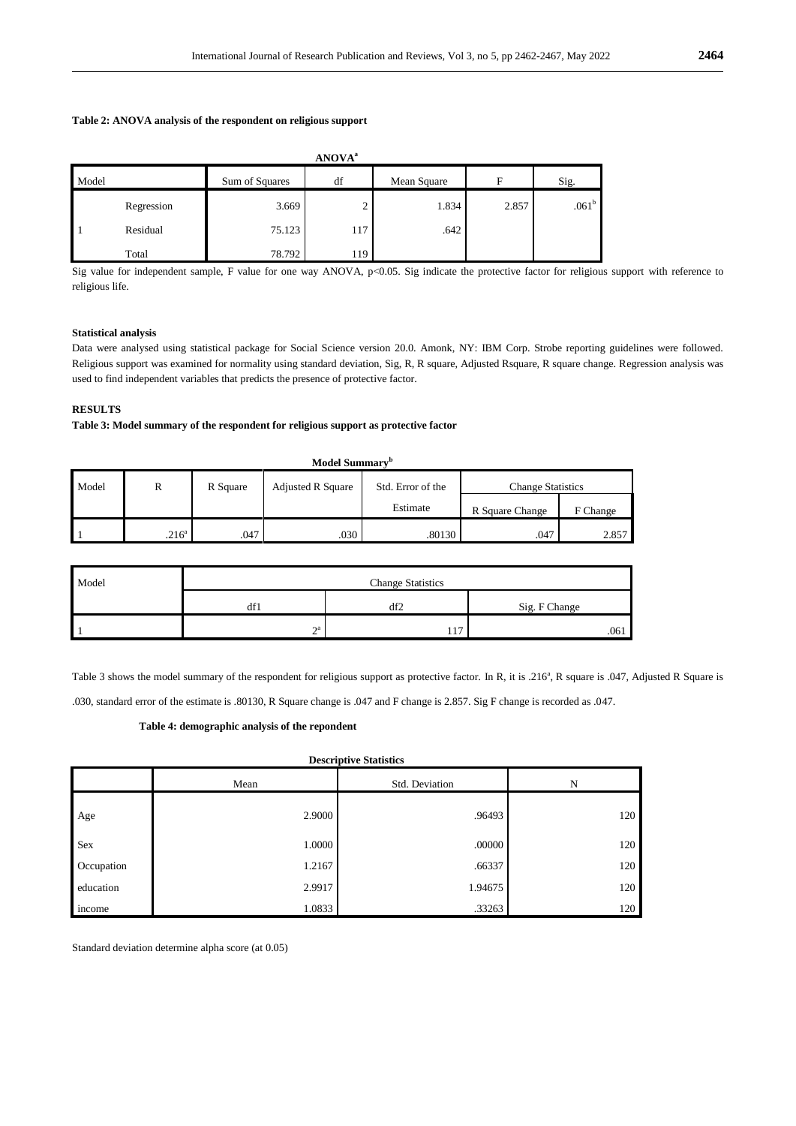## **Table 2: ANOVA analysis of the respondent on religious support**

|       | <b>ANOVA</b> <sup>a</sup> |                |     |             |       |                   |  |  |  |
|-------|---------------------------|----------------|-----|-------------|-------|-------------------|--|--|--|
| Model |                           | Sum of Squares | df  | Mean Square | F     | Sig.              |  |  |  |
|       | Regression                | 3.669          | ∸   | 1.834       | 2.857 | .061 <sup>b</sup> |  |  |  |
|       | Residual                  | 75.123         | 117 | .642        |       |                   |  |  |  |
|       | Total                     | 78.792         | 119 |             |       |                   |  |  |  |

Sig value for independent sample, F value for one way ANOVA, p<0.05. Sig indicate the protective factor for religious support with reference to religious life.

#### **Statistical analysis**

Data were analysed using statistical package for Social Science version 20.0. Amonk, NY: IBM Corp. Strobe reporting guidelines were followed. Religious support was examined for normality using standard deviation, Sig, R, R square, Adjusted Rsquare, R square change. Regression analysis was used to find independent variables that predicts the presence of protective factor.

## **RESULTS**

## **Table 3: Model summary of the respondent for religious support as protective factor**

| Model Summary <sup>b</sup> |                   |          |                          |                   |                          |          |  |
|----------------------------|-------------------|----------|--------------------------|-------------------|--------------------------|----------|--|
| Model                      | R                 | R Square | <b>Adjusted R Square</b> | Std. Error of the | <b>Change Statistics</b> |          |  |
|                            |                   |          |                          | Estimate          | R Square Change          | F Change |  |
|                            | .216 <sup>a</sup> | .047     | .030                     | .80130            | .047                     | 2.857    |  |

| Model | <b>Change Statistics</b> |     |               |  |  |
|-------|--------------------------|-----|---------------|--|--|
|       | aī l                     | df2 | Sig. F Change |  |  |
|       | $\mathbf{a}$<br>∸        |     | .061          |  |  |

Table 3 shows the model summary of the respondent for religious support as protective factor. In R, it is .216<sup>a</sup>, R square is .047, Adjusted R Square is .030, standard error of the estimate is .80130, R Square change is .047 and F change is 2.857. Sig F change is recorded as .047.

## **Table 4: demographic analysis of the repondent**

| <b>Descriptive Statistics</b> |                        |         |     |  |  |  |
|-------------------------------|------------------------|---------|-----|--|--|--|
|                               | Std. Deviation<br>Mean |         | N   |  |  |  |
| Age                           | 2.9000                 | .96493  | 120 |  |  |  |
| Sex                           | 1.0000                 | .00000  | 120 |  |  |  |
| Occupation                    | 1.2167                 | .66337  | 120 |  |  |  |
| education                     | 2.9917                 | 1.94675 | 120 |  |  |  |
| income                        | 1.0833                 | .33263  | 120 |  |  |  |

Standard deviation determine alpha score (at 0.05)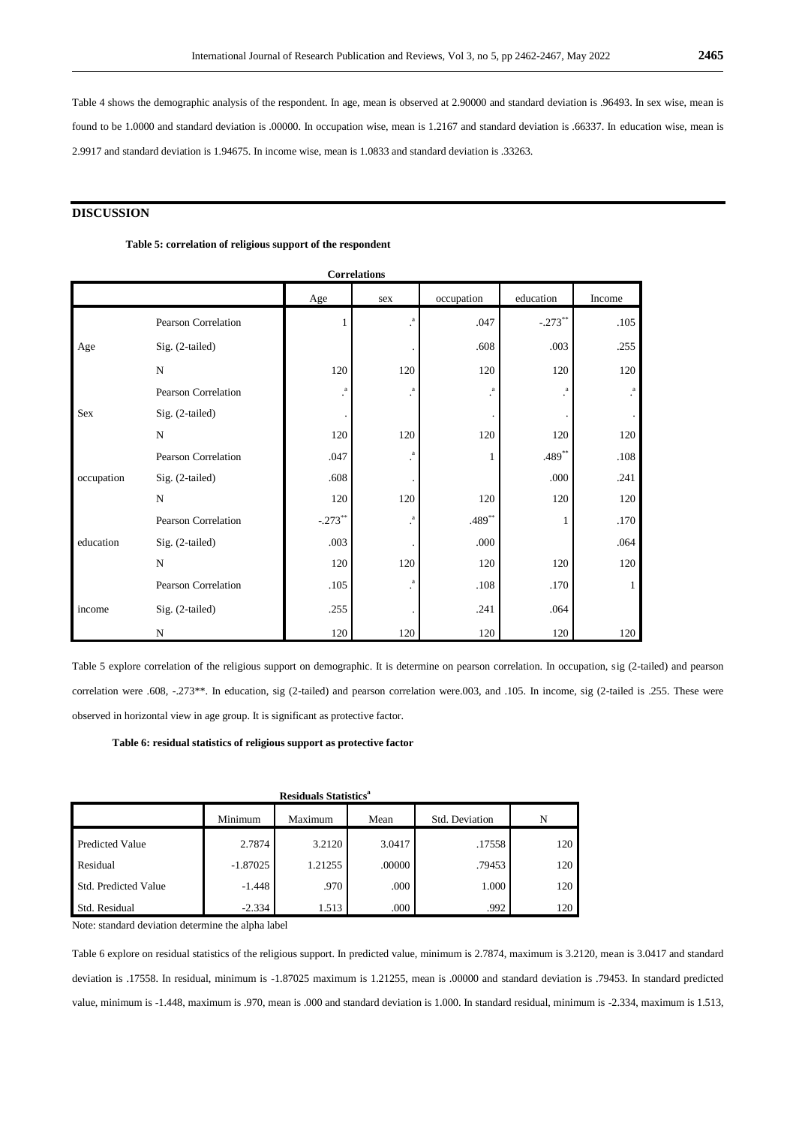Table 4 shows the demographic analysis of the respondent. In age, mean is observed at 2.90000 and standard deviation is .96493. In sex wise, mean is found to be 1.0000 and standard deviation is .00000. In occupation wise, mean is 1.2167 and standard deviation is .66337. In education wise, mean is 2.9917 and standard deviation is 1.94675. In income wise, mean is 1.0833 and standard deviation is .33263.

## **DISCUSSION**

## **Table 5: correlation of religious support of the respondent**

| <b>Correlations</b> |                            |           |                 |            |                 |                    |  |
|---------------------|----------------------------|-----------|-----------------|------------|-----------------|--------------------|--|
|                     |                            | Age       | sex             | occupation | education       | Income             |  |
|                     | <b>Pearson Correlation</b> | 1         | $\rm{a}$<br>÷.  | .047       | $-.273**$       | .105               |  |
| Age                 | Sig. (2-tailed)            |           |                 | .608       | .003            | .255               |  |
|                     | $\mathbf N$                | 120       | 120             | 120        | 120             | 120                |  |
|                     | <b>Pearson Correlation</b> | $\rm{a}$  | $\cdot^{\rm a}$ | $\rm{a}$   | $\cdot^{\rm a}$ | $_{\rm *}^{\rm a}$ |  |
| Sex                 | Sig. (2-tailed)            |           |                 |            |                 |                    |  |
|                     | $\mathbf N$                | 120       | 120             | 120        | 120             | 120                |  |
|                     | Pearson Correlation        | .047      | $\cdot^{\rm a}$ | 1          | $.489**$        | .108               |  |
| occupation          | Sig. (2-tailed)            | .608      |                 |            | .000            | .241               |  |
|                     | ${\bf N}$                  | 120       | 120             | 120        | 120             | 120                |  |
| education           | Pearson Correlation        | $-.273**$ | $\cdot^{\rm a}$ | $.489**$   | 1               | .170               |  |
|                     | Sig. (2-tailed)            | .003      |                 | .000       |                 | .064               |  |
|                     | $\mathbf N$                | 120       | 120             | 120        | 120             | 120                |  |
|                     | Pearson Correlation        | .105      | $\cdot^{\rm a}$ | .108       | .170            | $\mathbf{1}$       |  |
| income              | Sig. (2-tailed)            | .255      |                 | .241       | .064            |                    |  |
|                     | N                          | 120       | 120             | 120        | 120             | 120                |  |

Table 5 explore correlation of the religious support on demographic. It is determine on pearson correlation. In occupation, sig (2-tailed) and pearson correlation were .608, -.273\*\*. In education, sig (2-tailed) and pearson correlation were.003, and .105. In income, sig (2-tailed is .255. These were observed in horizontal view in age group. It is significant as protective factor.

 **Table 6: residual statistics of religious support as protective factor**

| <b>Residuals Statistics<sup>a</sup></b> |            |         |        |                |     |  |
|-----------------------------------------|------------|---------|--------|----------------|-----|--|
|                                         | Minimum    | Maximum | Mean   | Std. Deviation | N   |  |
| <b>Predicted Value</b>                  | 2.7874     | 3.2120  | 3.0417 | .17558         | 120 |  |
| Residual                                | $-1.87025$ | 1.21255 | .00000 | .79453         | 120 |  |
| <b>Std. Predicted Value</b>             | $-1.448$   | .970    | .000   | 1.000          | 120 |  |
| Std. Residual                           | $-2.334$   | 1.513   | .000   | .992           | 120 |  |

Note: standard deviation determine the alpha label

Table 6 explore on residual statistics of the religious support. In predicted value, minimum is 2.7874, maximum is 3.2120, mean is 3.0417 and standard deviation is .17558. In residual, minimum is -1.87025 maximum is 1.21255, mean is .00000 and standard deviation is .79453. In standard predicted value, minimum is -1.448, maximum is .970, mean is .000 and standard deviation is 1.000. In standard residual, minimum is -2.334, maximum is 1.513,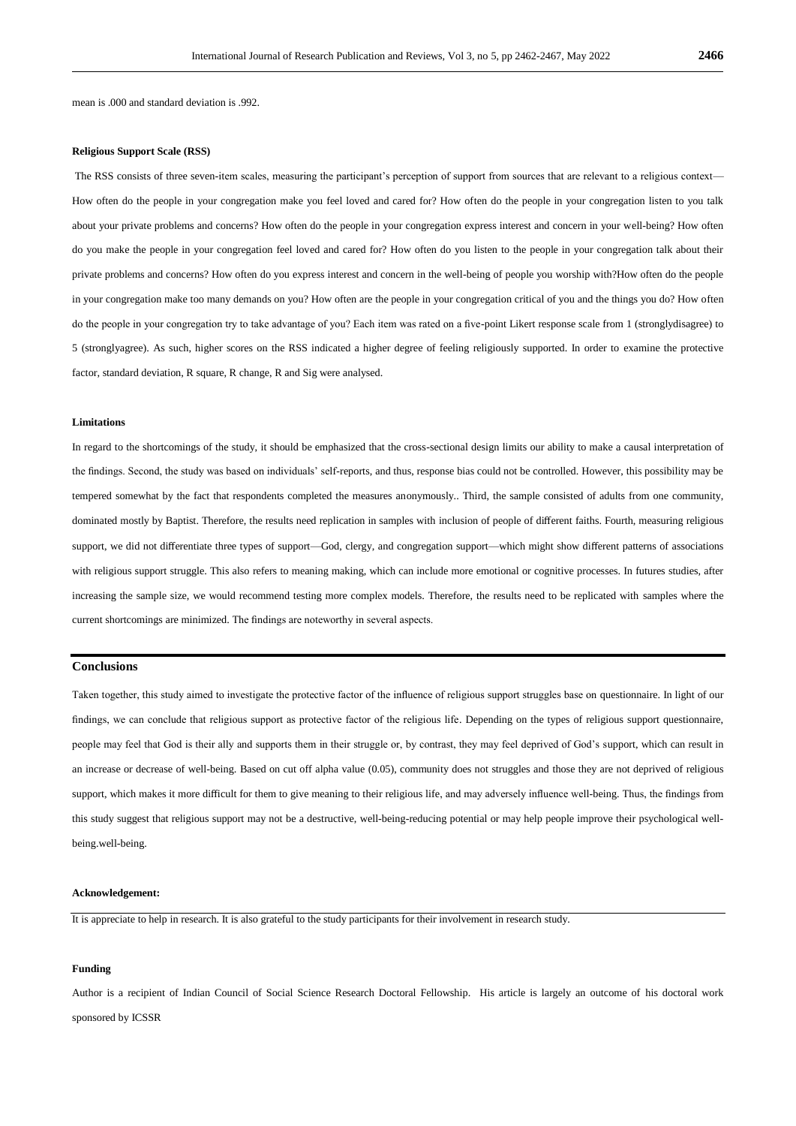mean is .000 and standard deviation is .992.

## **Religious Support Scale (RSS)**

The RSS consists of three seven-item scales, measuring the participant's perception of support from sources that are relevant to a religious context— How often do the people in your congregation make you feel loved and cared for? How often do the people in your congregation listen to you talk about your private problems and concerns? How often do the people in your congregation express interest and concern in your well-being? How often do you make the people in your congregation feel loved and cared for? How often do you listen to the people in your congregation talk about their private problems and concerns? How often do you express interest and concern in the well-being of people you worship with?How often do the people in your congregation make too many demands on you? How often are the people in your congregation critical of you and the things you do? How often do the people in your congregation try to take advantage of you? Each item was rated on a five-point Likert response scale from 1 (stronglydisagree) to 5 (stronglyagree). As such, higher scores on the RSS indicated a higher degree of feeling religiously supported. In order to examine the protective factor, standard deviation, R square, R change, R and Sig were analysed.

#### **Limitations**

In regard to the shortcomings of the study, it should be emphasized that the cross-sectional design limits our ability to make a causal interpretation of the findings. Second, the study was based on individuals' self-reports, and thus, response bias could not be controlled. However, this possibility may be tempered somewhat by the fact that respondents completed the measures anonymously.. Third, the sample consisted of adults from one community, dominated mostly by Baptist. Therefore, the results need replication in samples with inclusion of people of different faiths. Fourth, measuring religious support, we did not differentiate three types of support—God, clergy, and congregation support—which might show different patterns of associations with religious support struggle. This also refers to meaning making, which can include more emotional or cognitive processes. In futures studies, after increasing the sample size, we would recommend testing more complex models. Therefore, the results need to be replicated with samples where the current shortcomings are minimized. The findings are noteworthy in several aspects.

#### **Conclusions**

Taken together, this study aimed to investigate the protective factor of the influence of religious support struggles base on questionnaire. In light of our findings, we can conclude that religious support as protective factor of the religious life. Depending on the types of religious support questionnaire, people may feel that God is their ally and supports them in their struggle or, by contrast, they may feel deprived of God's support, which can result in an increase or decrease of well-being. Based on cut off alpha value (0.05), community does not struggles and those they are not deprived of religious support, which makes it more difficult for them to give meaning to their religious life, and may adversely influence well-being. Thus, the findings from this study suggest that religious support may not be a destructive, well-being-reducing potential or may help people improve their psychological wellbeing.well-being.

## **Acknowledgement:**

It is appreciate to help in research. It is also grateful to the study participants for their involvement in research study.

#### **Funding**

Author is a recipient of Indian Council of Social Science Research Doctoral Fellowship. His article is largely an outcome of his doctoral work sponsored by ICSSR